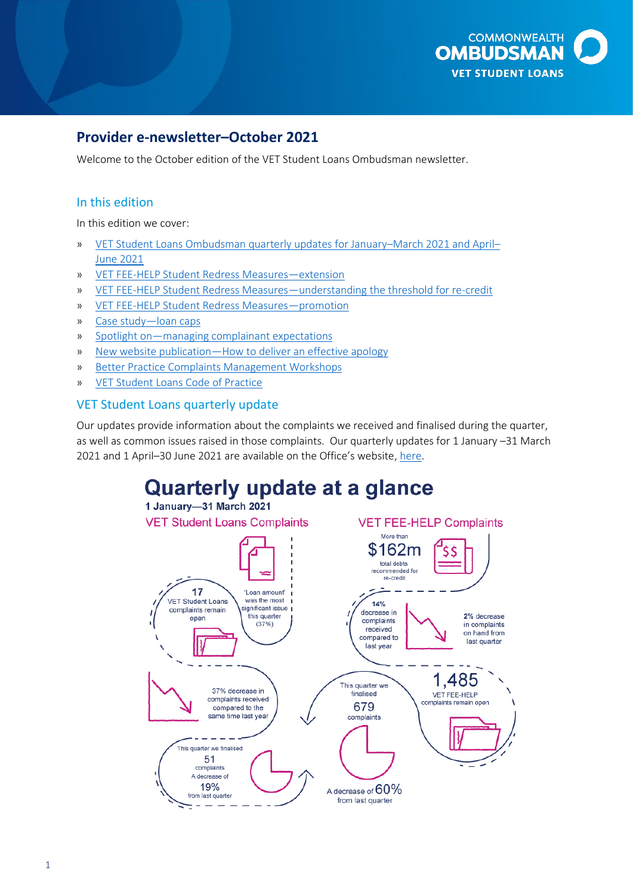

# **Provider e-newsletter–October 2021**

Welcome to the October edition of the VET Student Loans Ombudsman newsletter.

### In this edition

In this edition we cover:

- » [VET Student Loans Ombudsman quarterly updates for January](#page-0-0)–March 2021 and April– [June 2021](#page-0-0)
- » [VET FEE-HELP Student Redress Measures](#page-1-0)—extension
- » VET FEE-HELP Student Redress Measures—[understanding the threshold for re-credit](#page-2-0)
- » [VET FEE-HELP Student Redress Measures](#page-2-1)—promotion
- » [Case study](#page-3-0)—loan caps
- » Spotlight on—[managing complainant expectations](#page-3-1)
- » New website publication—[How to deliver an effective apology](#page-4-0)
- » [Better Practice Complaints Management Workshops](#page-4-1)
- » [VET Student Loans Code of Practice](#page-4-2)

#### <span id="page-0-0"></span>VET Student Loans quarterly update

 as well as common issues raised in those complaints. Our quarterly updates for 1 January –31 March Our updates provide information about the complaints we received and finalised during the quarter, 2021 and 1 April–30 June 2021 are available on the Office's website, [here.](https://www.ombudsman.gov.au/publications/industry/vet-student-loans/VET-Student-Loans-Code-of-Practice)

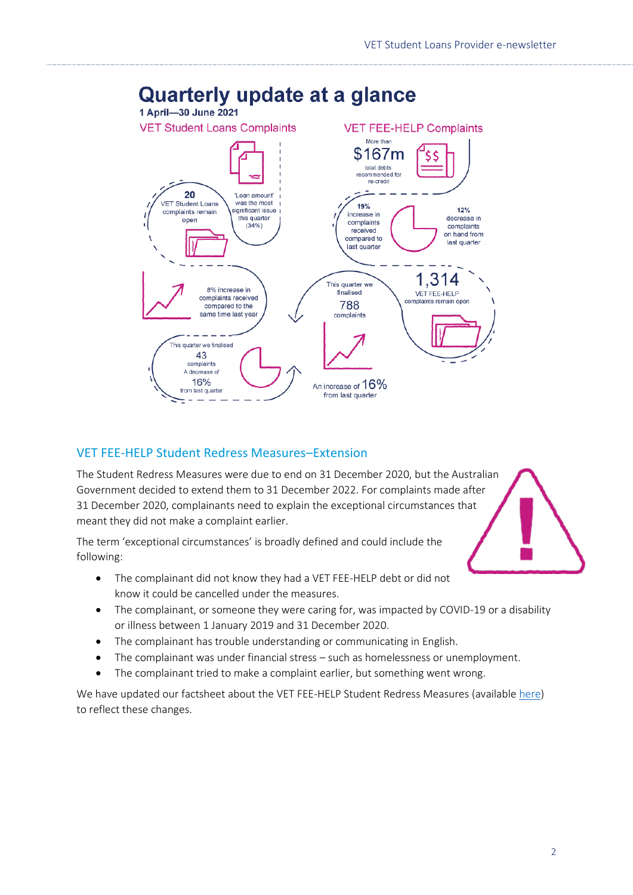

# **Quarterly update at a glance**

# <span id="page-1-0"></span>VET FEE-HELP Student Redress Measures–Extension

The Student Redress Measures were due to end on 31 December 2020, but the Australian Government decided to extend them to 31 December 2022. For complaints made after 31 December 2020, complainants need to explain the exceptional circumstances that meant they did not make a complaint earlier.

The term 'exceptional circumstances' is broadly defined and could include the following:

- The complainant did not know they had a VET FEE-HELP debt or did not know it could be cancelled under the measures.
- The complainant, or someone they were caring for, was impacted by COVID-19 or a disability or illness between 1 January 2019 and 31 December 2020.
- The complainant has trouble understanding or communicating in English.
- The complainant was under financial stress such as homelessness or unemployment.
- The complainant tried to make a complaint earlier, but something went wrong.

We have updated our factsheet about the VET FEE-HELP Student Redress Measures (available [here\)](mailto:https://www.ombudsman.gov.au/__data/assets/pdf_file/0006/111030/VET-FEE-HELP-Student-Redress-measures-fact-sheet-revised-24-June-2021.pdf) to reflect these changes.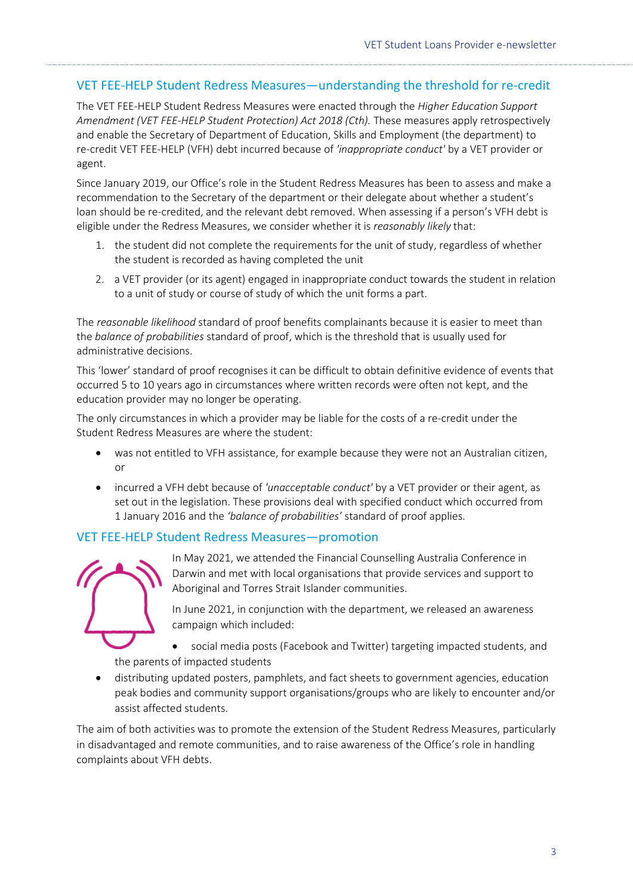# <span id="page-2-0"></span>VET FEE-HELP Student Redress Measures—understanding the threshold for re-credit

 The VET FEE-HELP Student Redress Measures were enacted through the *Higher Education Support Amendment (VET FEE-HELP Student Protection) Act 2018 (Cth).* These measures apply retrospectively and enable the Secretary of Department of Education, Skills and Employment (the department) to re-credit VET FEE-HELP (VFH) debt incurred because of *'inappropriate conduct'* by a VET provider or agent.

 recommendation to the Secretary of the department or their delegate about whether a student's Since January 2019, our Office's role in the Student Redress Measures has been to assess and make a loan should be re-credited, and the relevant debt removed. When assessing if a person's VFH debt is eligible under the Redress Measures, we consider whether it is *reasonably likely* that:

- 1. the student did not complete the requirements for the unit of study, regardless of whether the student is recorded as having completed the unit
- to a unit of study or course of study of which the unit forms a part. 2. a VET provider (or its agent) engaged in inappropriate conduct towards the student in relation

 The *reasonable likelihood* standard of proof benefits complainants because it is easier to meet than the *balance of probabilities* standard of proof, which is the threshold that is usually used for administrative decisions.

 This 'lower' standard of proof recognises it can be difficult to obtain definitive evidence of events that occurred 5 to 10 years ago in circumstances where written records were often not kept, and the education provider may no longer be operating.

 The only circumstances in which a provider may be liable for the costs of a re-credit under the Student Redress Measures are where the student:

- was not entitled to VFH assistance, for example because they were not an Australian citizen, or
- set out in the legislation. These provisions deal with specified conduct which occurred from • incurred a VFH debt because of *'unacceptable conduct'* by a VET provider or their agent, as 1 January 2016 and the *'balance of probabilities'* standard of proof applies.

#### <span id="page-2-1"></span>VET FEE-HELP Student Redress Measures—promotion

 Darwin and met with local organisations that provide services and support to In May 2021, we attended the Financial Counselling Australia Conference in Aboriginal and Torres Strait Islander communities.

In June 2021, in conjunction with the department, we released an awareness campaign which included:

• social media posts (Facebook and Twitter) targeting impacted students, and the parents of impacted students

• distributing updated posters, pamphlets, and fact sheets to government agencies, education peak bodies and community support organisations/groups who are likely to encounter and/or assist affected students.

The aim of both activities was to promote the extension of the Student Redress Measures, particularly in disadvantaged and remote communities, and to raise awareness of the Office's role in handling complaints about VFH debts.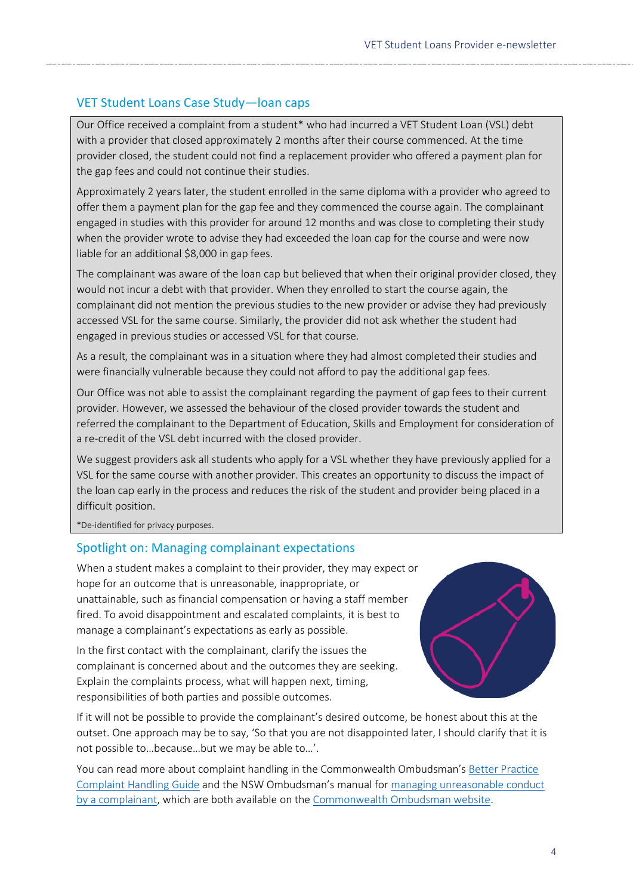# <span id="page-3-0"></span>VET Student Loans Case Study—loan caps

 Our Office received a complaint from a student\* who had incurred a VET Student Loan (VSL) debt with a provider that closed approximately 2 months after their course commenced. At the time provider closed, the student could not find a replacement provider who offered a payment plan for the gap fees and could not continue their studies.

Approximately 2 years later, the student enrolled in the same diploma with a provider who agreed to offer them a payment plan for the gap fee and they commenced the course again. The complainant engaged in studies with this provider for around 12 months and was close to completing their study when the provider wrote to advise they had exceeded the loan cap for the course and were now liable for an additional \$8,000 in gap fees.

 complainant did not mention the previous studies to the new provider or advise they had previously accessed VSL for the same course. Similarly, the provider did not ask whether the student had The complainant was aware of the loan cap but believed that when their original provider closed, they would not incur a debt with that provider. When they enrolled to start the course again, the engaged in previous studies or accessed VSL for that course.

 were financially vulnerable because they could not afford to pay the additional gap fees. As a result, the complainant was in a situation where they had almost completed their studies and

 provider. However, we assessed the behaviour of the closed provider towards the student and Our Office was not able to assist the complainant regarding the payment of gap fees to their current referred the complainant to the Department of Education, Skills and Employment for consideration of a re-credit of the VSL debt incurred with the closed provider.

 VSL for the same course with another provider. This creates an opportunity to discuss the impact of the loan cap early in the process and reduces the risk of the student and provider being placed in a We suggest providers ask all students who apply for a VSL whether they have previously applied for a difficult position.

\*De-identified for privacy purposes.

## <span id="page-3-1"></span>Spotlight on: Managing complainant expectations

 unattainable, such as financial compensation or having a staff member manage a complainant's expectations as early as possible. When a student makes a complaint to their provider, they may expect or hope for an outcome that is unreasonable, inappropriate, or fired. To avoid disappointment and escalated complaints, it is best to

In the first contact with the complainant, clarify the issues the complainant is concerned about and the outcomes they are seeking. Explain the complaints process, what will happen next, timing, responsibilities of both parties and possible outcomes.



 If it will not be possible to provide the complainant's desired outcome, be honest about this at the outset. One approach may be to say, 'So that you are not disappointed later, I should clarify that it is not possible to…because…but we may be able to…'.

You can read more about complaint handling in the Commonwealth Ombudsman's Better Practice [Complaint Handling Guide](https://www.ombudsman.gov.au/publications/better-practice-guides/Better-practice-complaint-handling-guide) and the NSW Ombudsman's manual for [managing unreasonable conduct](https://www.ombudsman.gov.au/__data/assets/pdf_file/0022/35617/NSW-Ombudsmans-Managing-Unreasonable-Complainant-Conduct-guide.pdf)  [by a complainant,](https://www.ombudsman.gov.au/__data/assets/pdf_file/0022/35617/NSW-Ombudsmans-Managing-Unreasonable-Complainant-Conduct-guide.pdf) which are both available on the [Commonwealth Ombudsman website.](https://www.ombudsman.gov.au/publications/better-practice-guides/_nocache)